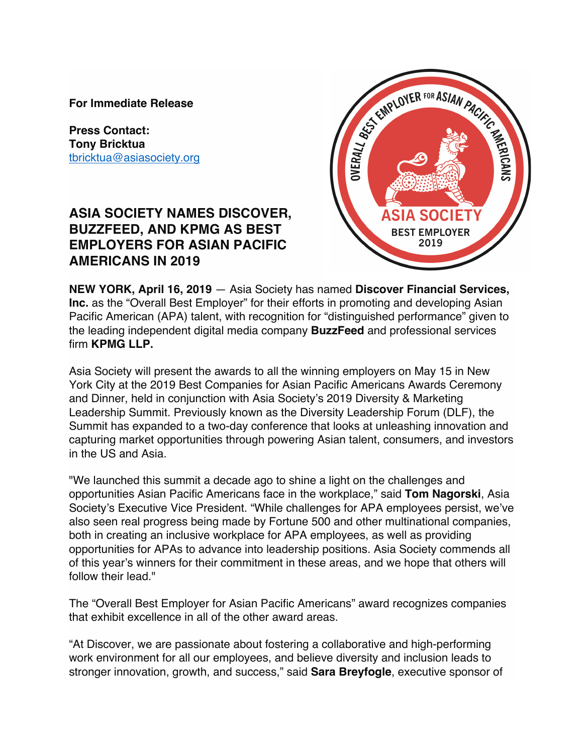**For Immediate Release**

**Press Contact: Tony Bricktua** tbricktua@asiasociety.org

# **ASIA SOCIETY NAMES DISCOVER, BUZZFEED, AND KPMG AS BEST EMPLOYERS FOR ASIAN PACIFIC AMERICANS IN 2019**



**NEW YORK, April 16, 2019** — Asia Society has named **Discover Financial Services, Inc.** as the "Overall Best Employer" for their efforts in promoting and developing Asian Pacific American (APA) talent, with recognition for "distinguished performance" given to the leading independent digital media company **BuzzFeed** and professional services firm **KPMG LLP.**

Asia Society will present the awards to all the winning employers on May 15 in New York City at the 2019 Best Companies for Asian Pacific Americans Awards Ceremony and Dinner, held in conjunction with Asia Society's 2019 Diversity & Marketing Leadership Summit. Previously known as the Diversity Leadership Forum (DLF), the Summit has expanded to a two-day conference that looks at unleashing innovation and capturing market opportunities through powering Asian talent, consumers, and investors in the US and Asia.

"We launched this summit a decade ago to shine a light on the challenges and opportunities Asian Pacific Americans face in the workplace," said **Tom Nagorski**, Asia Society's Executive Vice President. "While challenges for APA employees persist, we've also seen real progress being made by Fortune 500 and other multinational companies, both in creating an inclusive workplace for APA employees, as well as providing opportunities for APAs to advance into leadership positions. Asia Society commends all of this year's winners for their commitment in these areas, and we hope that others will follow their lead."

The "Overall Best Employer for Asian Pacific Americans" award recognizes companies that exhibit excellence in all of the other award areas.

"At Discover, we are passionate about fostering a collaborative and high-performing work environment for all our employees, and believe diversity and inclusion leads to stronger innovation, growth, and success," said **Sara Breyfogle**, executive sponsor of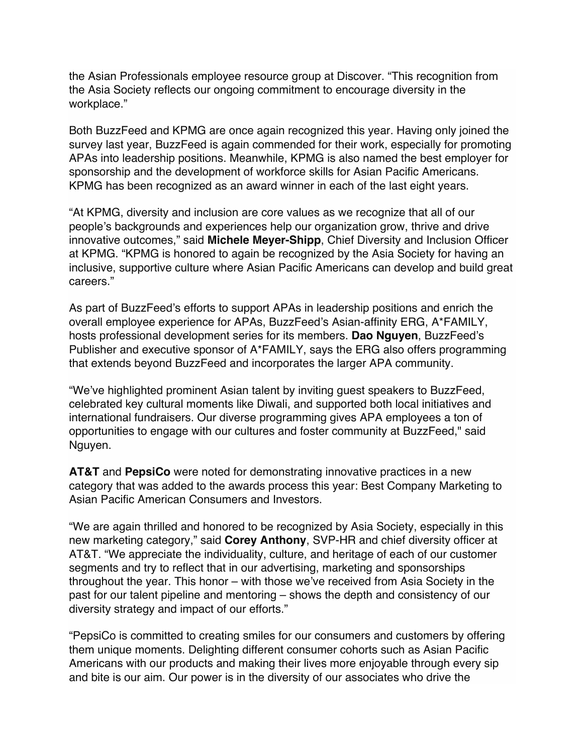the Asian Professionals employee resource group at Discover. "This recognition from the Asia Society reflects our ongoing commitment to encourage diversity in the workplace."

Both BuzzFeed and KPMG are once again recognized this year. Having only joined the survey last year, BuzzFeed is again commended for their work, especially for promoting APAs into leadership positions. Meanwhile, KPMG is also named the best employer for sponsorship and the development of workforce skills for Asian Pacific Americans. KPMG has been recognized as an award winner in each of the last eight years.

"At KPMG, diversity and inclusion are core values as we recognize that all of our people's backgrounds and experiences help our organization grow, thrive and drive innovative outcomes," said **Michele Meyer-Shipp**, Chief Diversity and Inclusion Officer at KPMG. "KPMG is honored to again be recognized by the Asia Society for having an inclusive, supportive culture where Asian Pacific Americans can develop and build great careers."

As part of BuzzFeed's efforts to support APAs in leadership positions and enrich the overall employee experience for APAs, BuzzFeed's Asian-affinity ERG, A\*FAMILY, hosts professional development series for its members. **Dao Nguyen**, BuzzFeed's Publisher and executive sponsor of A\*FAMILY, says the ERG also offers programming that extends beyond BuzzFeed and incorporates the larger APA community.

"We've highlighted prominent Asian talent by inviting guest speakers to BuzzFeed, celebrated key cultural moments like Diwali, and supported both local initiatives and international fundraisers. Our diverse programming gives APA employees a ton of opportunities to engage with our cultures and foster community at BuzzFeed," said Nguyen.

**AT&T** and **PepsiCo** were noted for demonstrating innovative practices in a new category that was added to the awards process this year: Best Company Marketing to Asian Pacific American Consumers and Investors.

"We are again thrilled and honored to be recognized by Asia Society, especially in this new marketing category," said **Corey Anthony**, SVP-HR and chief diversity officer at AT&T. "We appreciate the individuality, culture, and heritage of each of our customer segments and try to reflect that in our advertising, marketing and sponsorships throughout the year. This honor – with those we've received from Asia Society in the past for our talent pipeline and mentoring – shows the depth and consistency of our diversity strategy and impact of our efforts."

"PepsiCo is committed to creating smiles for our consumers and customers by offering them unique moments. Delighting different consumer cohorts such as Asian Pacific Americans with our products and making their lives more enjoyable through every sip and bite is our aim. Our power is in the diversity of our associates who drive the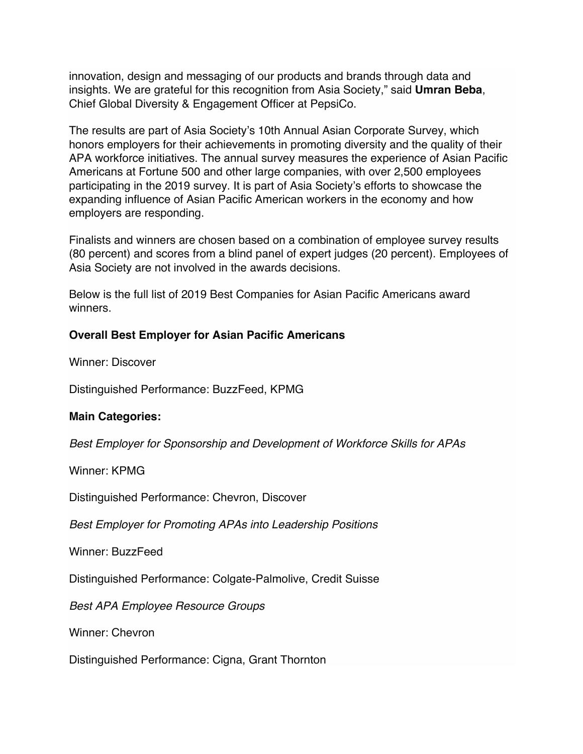innovation, design and messaging of our products and brands through data and insights. We are grateful for this recognition from Asia Society," said **Umran Beba**, Chief Global Diversity & Engagement Officer at PepsiCo.

The results are part of Asia Society's 10th Annual Asian Corporate Survey, which honors employers for their achievements in promoting diversity and the quality of their APA workforce initiatives. The annual survey measures the experience of Asian Pacific Americans at Fortune 500 and other large companies, with over 2,500 employees participating in the 2019 survey. It is part of Asia Society's efforts to showcase the expanding influence of Asian Pacific American workers in the economy and how employers are responding.

Finalists and winners are chosen based on a combination of employee survey results (80 percent) and scores from a blind panel of expert judges (20 percent). Employees of Asia Society are not involved in the awards decisions.

Below is the full list of 2019 Best Companies for Asian Pacific Americans award winners.

#### **Overall Best Employer for Asian Pacific Americans**

Winner: Discover

Distinguished Performance: BuzzFeed, KPMG

#### **Main Categories:**

*Best Employer for Sponsorship and Development of Workforce Skills for APAs*

Winner: KPMG

Distinguished Performance: Chevron, Discover

*Best Employer for Promoting APAs into Leadership Positions*

Winner: BuzzFeed

Distinguished Performance: Colgate-Palmolive, Credit Suisse

*Best APA Employee Resource Groups*

Winner: Chevron

Distinguished Performance: Cigna, Grant Thornton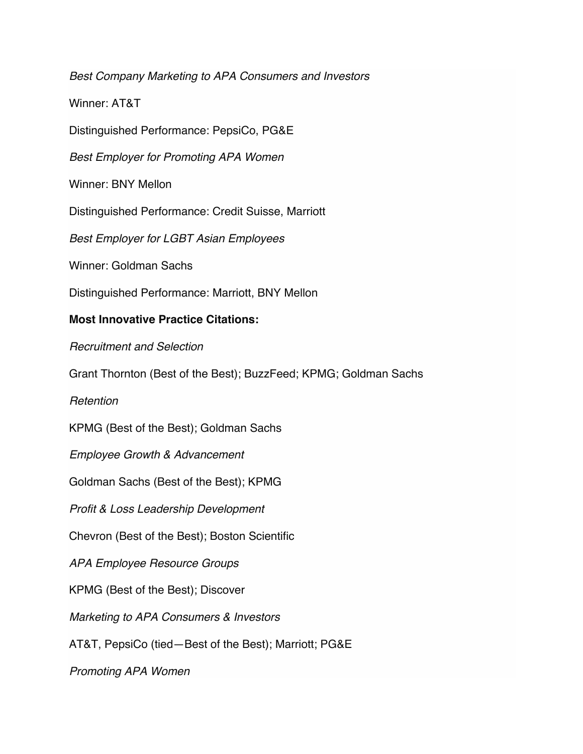*Best Company Marketing to APA Consumers and Investors*

Winner: AT&T

Distinguished Performance: PepsiCo, PG&E

*Best Employer for Promoting APA Women*

Winner: BNY Mellon

Distinguished Performance: Credit Suisse, Marriott

*Best Employer for LGBT Asian Employees*

Winner: Goldman Sachs

Distinguished Performance: Marriott, BNY Mellon

### **Most Innovative Practice Citations:**

*Recruitment and Selection*

Grant Thornton (Best of the Best); BuzzFeed; KPMG; Goldman Sachs

*Retention*

KPMG (Best of the Best); Goldman Sachs

*Employee Growth & Advancement*

Goldman Sachs (Best of the Best); KPMG

*Profit & Loss Leadership Development*

Chevron (Best of the Best); Boston Scientific

*APA Employee Resource Groups*

KPMG (Best of the Best); Discover

*Marketing to APA Consumers & Investors*

AT&T, PepsiCo (tied—Best of the Best); Marriott; PG&E

*Promoting APA Women*